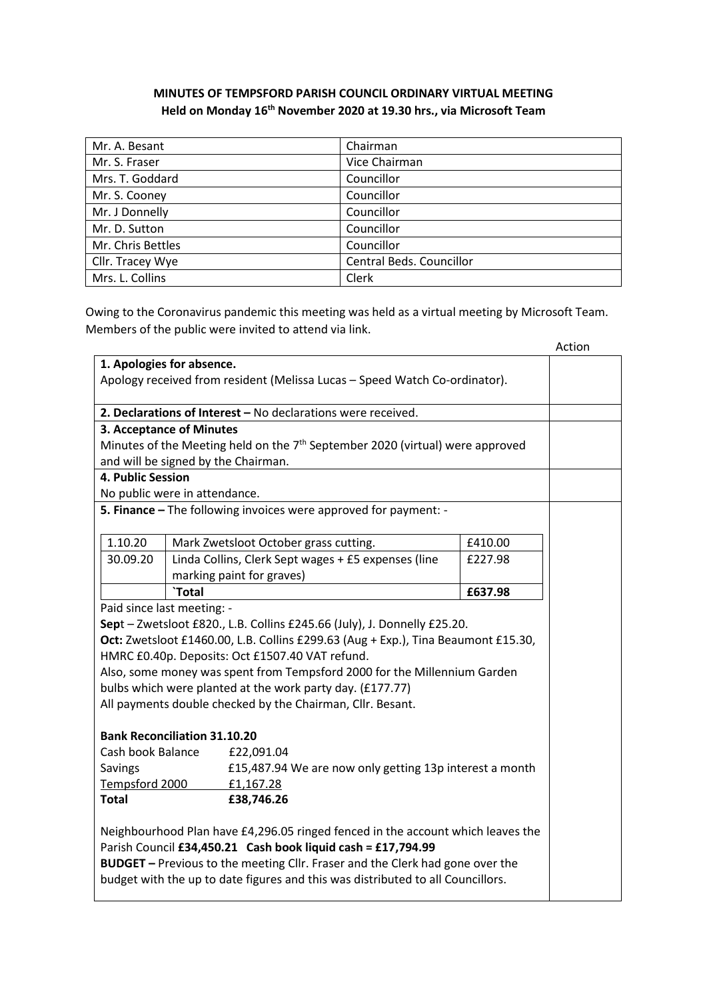## **MINUTES OF TEMPSFORD PARISH COUNCIL ORDINARY VIRTUAL MEETING Held on Monday 16th November 2020 at 19.30 hrs., via Microsoft Team**

| Mr. A. Besant     | Chairman                 |
|-------------------|--------------------------|
| Mr. S. Fraser     | Vice Chairman            |
| Mrs. T. Goddard   | Councillor               |
| Mr. S. Cooney     | Councillor               |
| Mr. J Donnelly    | Councillor               |
| Mr. D. Sutton     | Councillor               |
| Mr. Chris Bettles | Councillor               |
| Cllr. Tracey Wye  | Central Beds. Councillor |
| Mrs. L. Collins   | Clerk                    |

Owing to the Coronavirus pandemic this meeting was held as a virtual meeting by Microsoft Team. Members of the public were invited to attend via link.

|                                                                                   |                                                         |                                                                                 |         | Action |
|-----------------------------------------------------------------------------------|---------------------------------------------------------|---------------------------------------------------------------------------------|---------|--------|
| 1. Apologies for absence.                                                         |                                                         |                                                                                 |         |        |
|                                                                                   |                                                         | Apology received from resident (Melissa Lucas - Speed Watch Co-ordinator).      |         |        |
|                                                                                   |                                                         | 2. Declarations of Interest - No declarations were received.                    |         |        |
| 3. Acceptance of Minutes                                                          |                                                         |                                                                                 |         |        |
|                                                                                   |                                                         | Minutes of the Meeting held on the $7th$ September 2020 (virtual) were approved |         |        |
|                                                                                   |                                                         | and will be signed by the Chairman.                                             |         |        |
| 4. Public Session                                                                 |                                                         |                                                                                 |         |        |
| No public were in attendance.                                                     |                                                         |                                                                                 |         |        |
|                                                                                   |                                                         | 5. Finance - The following invoices were approved for payment: -                |         |        |
| 1.10.20                                                                           |                                                         | Mark Zwetsloot October grass cutting.                                           | £410.00 |        |
| 30.09.20                                                                          |                                                         | Linda Collins, Clerk Sept wages + £5 expenses (line                             | £227.98 |        |
|                                                                                   |                                                         | marking paint for graves)                                                       |         |        |
|                                                                                   | `Total                                                  |                                                                                 | £637.98 |        |
| Paid since last meeting: -                                                        |                                                         |                                                                                 |         |        |
| Sept - Zwetsloot £820., L.B. Collins £245.66 (July), J. Donnelly £25.20.          |                                                         |                                                                                 |         |        |
| Oct: Zwetsloot £1460.00, L.B. Collins £299.63 (Aug + Exp.), Tina Beaumont £15.30, |                                                         |                                                                                 |         |        |
| HMRC £0.40p. Deposits: Oct £1507.40 VAT refund.                                   |                                                         |                                                                                 |         |        |
|                                                                                   |                                                         | Also, some money was spent from Tempsford 2000 for the Millennium Garden        |         |        |
|                                                                                   |                                                         | bulbs which were planted at the work party day. (£177.77)                       |         |        |
|                                                                                   |                                                         | All payments double checked by the Chairman, Cllr. Besant.                      |         |        |
| <b>Bank Reconciliation 31.10.20</b>                                               |                                                         |                                                                                 |         |        |
| Cash book Balance                                                                 |                                                         | £22,091.04                                                                      |         |        |
| Savings                                                                           | £15,487.94 We are now only getting 13p interest a month |                                                                                 |         |        |
| Tempsford 2000                                                                    |                                                         | £1,167.28                                                                       |         |        |
| <b>Total</b>                                                                      |                                                         | £38,746.26                                                                      |         |        |
|                                                                                   |                                                         | Neighbourhood Plan have £4,296.05 ringed fenced in the account which leaves the |         |        |
|                                                                                   |                                                         | Parish Council £34,450.21 Cash book liquid cash = £17,794.99                    |         |        |
|                                                                                   |                                                         | BUDGET - Previous to the meeting Cllr. Fraser and the Clerk had gone over the   |         |        |
|                                                                                   |                                                         | budget with the up to date figures and this was distributed to all Councillors. |         |        |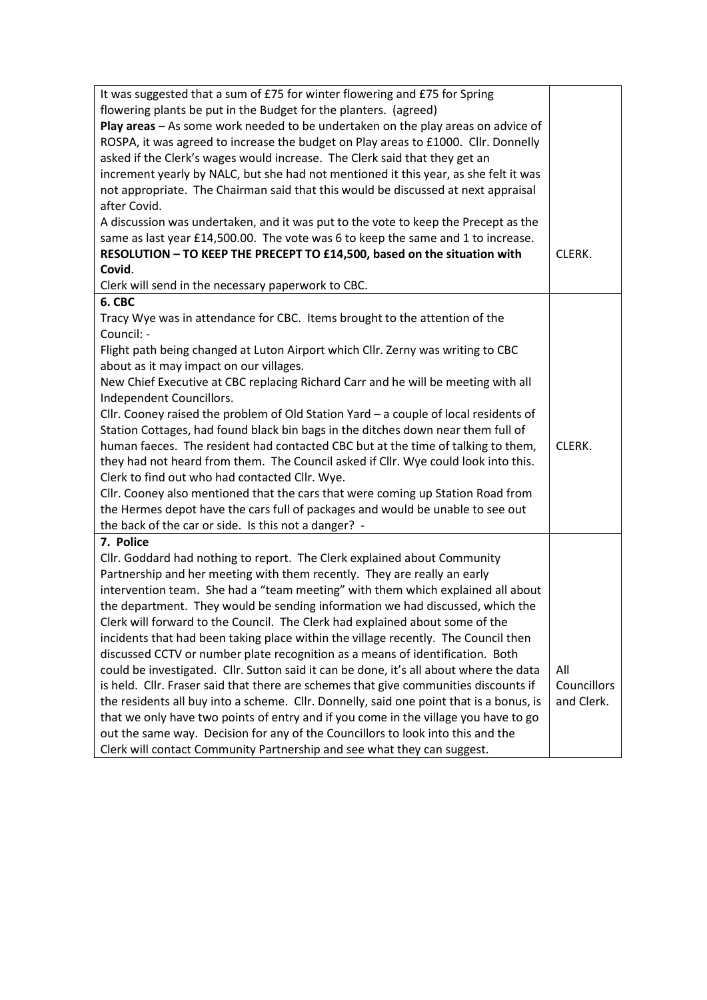| It was suggested that a sum of £75 for winter flowering and £75 for Spring              |             |
|-----------------------------------------------------------------------------------------|-------------|
| flowering plants be put in the Budget for the planters. (agreed)                        |             |
| Play areas - As some work needed to be undertaken on the play areas on advice of        |             |
| ROSPA, it was agreed to increase the budget on Play areas to £1000. Cllr. Donnelly      |             |
| asked if the Clerk's wages would increase. The Clerk said that they get an              |             |
| increment yearly by NALC, but she had not mentioned it this year, as she felt it was    |             |
| not appropriate. The Chairman said that this would be discussed at next appraisal       |             |
| after Covid.                                                                            |             |
| A discussion was undertaken, and it was put to the vote to keep the Precept as the      |             |
| same as last year £14,500.00. The vote was 6 to keep the same and 1 to increase.        |             |
| RESOLUTION - TO KEEP THE PRECEPT TO £14,500, based on the situation with                | CLERK.      |
| Covid.                                                                                  |             |
| Clerk will send in the necessary paperwork to CBC.                                      |             |
| 6. CBC                                                                                  |             |
| Tracy Wye was in attendance for CBC. Items brought to the attention of the              |             |
| Council: -                                                                              |             |
| Flight path being changed at Luton Airport which Cllr. Zerny was writing to CBC         |             |
| about as it may impact on our villages.                                                 |             |
| New Chief Executive at CBC replacing Richard Carr and he will be meeting with all       |             |
| Independent Councillors.                                                                |             |
| Cllr. Cooney raised the problem of Old Station Yard $-$ a couple of local residents of  |             |
| Station Cottages, had found black bin bags in the ditches down near them full of        |             |
| human faeces. The resident had contacted CBC but at the time of talking to them,        | CLERK.      |
| they had not heard from them. The Council asked if Cllr. Wye could look into this.      |             |
| Clerk to find out who had contacted Cllr. Wye.                                          |             |
| Cllr. Cooney also mentioned that the cars that were coming up Station Road from         |             |
| the Hermes depot have the cars full of packages and would be unable to see out          |             |
| the back of the car or side. Is this not a danger? -                                    |             |
| 7. Police                                                                               |             |
| Cllr. Goddard had nothing to report. The Clerk explained about Community                |             |
| Partnership and her meeting with them recently. They are really an early                |             |
| intervention team. She had a "team meeting" with them which explained all about         |             |
| the department. They would be sending information we had discussed, which the           |             |
| Clerk will forward to the Council. The Clerk had explained about some of the            |             |
| incidents that had been taking place within the village recently. The Council then      |             |
| discussed CCTV or number plate recognition as a means of identification. Both           |             |
| could be investigated. Cllr. Sutton said it can be done, it's all about where the data  | All         |
| is held. Cllr. Fraser said that there are schemes that give communities discounts if    | Councillors |
| the residents all buy into a scheme. Cllr. Donnelly, said one point that is a bonus, is | and Clerk.  |
| that we only have two points of entry and if you come in the village you have to go     |             |
| out the same way. Decision for any of the Councillors to look into this and the         |             |
|                                                                                         |             |
| Clerk will contact Community Partnership and see what they can suggest.                 |             |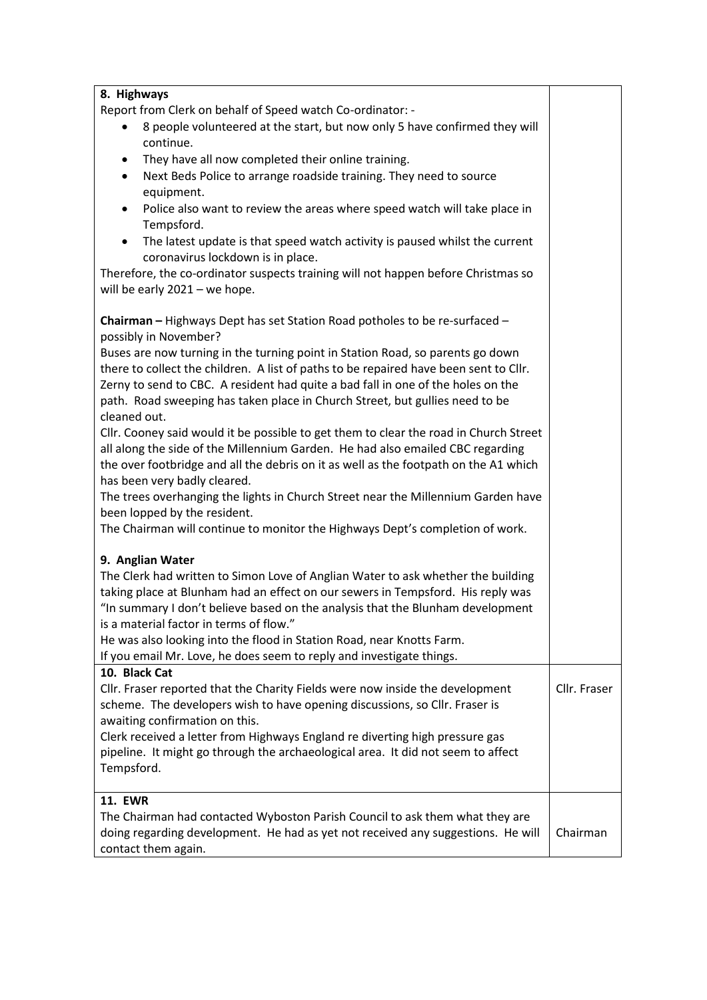| 8. Highways                                                                              |              |
|------------------------------------------------------------------------------------------|--------------|
| Report from Clerk on behalf of Speed watch Co-ordinator: -                               |              |
| 8 people volunteered at the start, but now only 5 have confirmed they will               |              |
| continue.                                                                                |              |
| They have all now completed their online training.<br>$\bullet$                          |              |
| Next Beds Police to arrange roadside training. They need to source                       |              |
| equipment.                                                                               |              |
| Police also want to review the areas where speed watch will take place in                |              |
| Tempsford.                                                                               |              |
| The latest update is that speed watch activity is paused whilst the current<br>$\bullet$ |              |
| coronavirus lockdown is in place.                                                        |              |
| Therefore, the co-ordinator suspects training will not happen before Christmas so        |              |
| will be early $2021 -$ we hope.                                                          |              |
|                                                                                          |              |
| Chairman - Highways Dept has set Station Road potholes to be re-surfaced -               |              |
| possibly in November?                                                                    |              |
| Buses are now turning in the turning point in Station Road, so parents go down           |              |
| there to collect the children. A list of paths to be repaired have been sent to Cllr.    |              |
| Zerny to send to CBC. A resident had quite a bad fall in one of the holes on the         |              |
| path. Road sweeping has taken place in Church Street, but gullies need to be             |              |
| cleaned out.                                                                             |              |
| Cllr. Cooney said would it be possible to get them to clear the road in Church Street    |              |
| all along the side of the Millennium Garden. He had also emailed CBC regarding           |              |
| the over footbridge and all the debris on it as well as the footpath on the A1 which     |              |
| has been very badly cleared.                                                             |              |
| The trees overhanging the lights in Church Street near the Millennium Garden have        |              |
| been lopped by the resident.                                                             |              |
| The Chairman will continue to monitor the Highways Dept's completion of work.            |              |
| 9. Anglian Water                                                                         |              |
| The Clerk had written to Simon Love of Anglian Water to ask whether the building         |              |
| taking place at Blunham had an effect on our sewers in Tempsford. His reply was          |              |
| "In summary I don't believe based on the analysis that the Blunham development           |              |
| is a material factor in terms of flow."                                                  |              |
| He was also looking into the flood in Station Road, near Knotts Farm.                    |              |
| If you email Mr. Love, he does seem to reply and investigate things.                     |              |
| 10. Black Cat                                                                            |              |
| Cllr. Fraser reported that the Charity Fields were now inside the development            | Cllr. Fraser |
| scheme. The developers wish to have opening discussions, so Cllr. Fraser is              |              |
| awaiting confirmation on this.                                                           |              |
| Clerk received a letter from Highways England re diverting high pressure gas             |              |
| pipeline. It might go through the archaeological area. It did not seem to affect         |              |
| Tempsford.                                                                               |              |
|                                                                                          |              |
| <b>11. EWR</b>                                                                           |              |
| The Chairman had contacted Wyboston Parish Council to ask them what they are             |              |
| doing regarding development. He had as yet not received any suggestions. He will         | Chairman     |
| contact them again.                                                                      |              |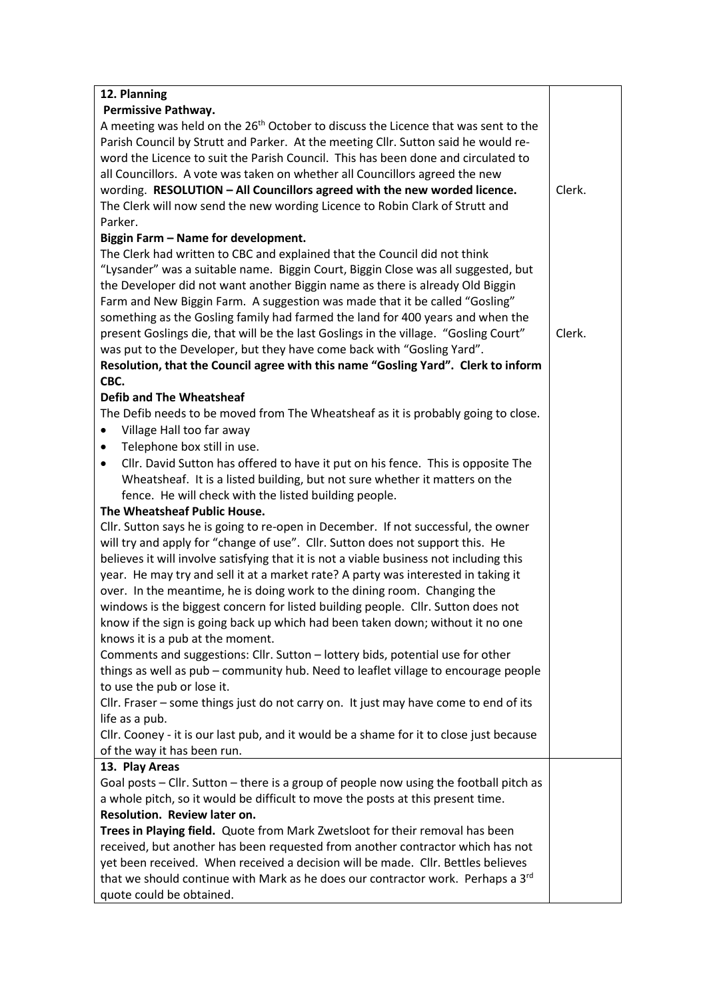| 12. Planning                                                                                   |        |
|------------------------------------------------------------------------------------------------|--------|
| Permissive Pathway.                                                                            |        |
| A meeting was held on the 26 <sup>th</sup> October to discuss the Licence that was sent to the |        |
| Parish Council by Strutt and Parker. At the meeting Cllr. Sutton said he would re-             |        |
| word the Licence to suit the Parish Council. This has been done and circulated to              |        |
| all Councillors. A vote was taken on whether all Councillors agreed the new                    |        |
| wording. RESOLUTION - All Councillors agreed with the new worded licence.                      |        |
| The Clerk will now send the new wording Licence to Robin Clark of Strutt and                   |        |
| Parker.                                                                                        |        |
| Biggin Farm - Name for development.                                                            |        |
| The Clerk had written to CBC and explained that the Council did not think                      |        |
| "Lysander" was a suitable name. Biggin Court, Biggin Close was all suggested, but              |        |
| the Developer did not want another Biggin name as there is already Old Biggin                  |        |
| Farm and New Biggin Farm. A suggestion was made that it be called "Gosling"                    |        |
| something as the Gosling family had farmed the land for 400 years and when the                 |        |
| present Goslings die, that will be the last Goslings in the village. "Gosling Court"           | Clerk. |
| was put to the Developer, but they have come back with "Gosling Yard".                         |        |
| Resolution, that the Council agree with this name "Gosling Yard". Clerk to inform              |        |
| CBC.                                                                                           |        |
| <b>Defib and The Wheatsheaf</b>                                                                |        |
| The Defib needs to be moved from The Wheatsheaf as it is probably going to close.              |        |
| Village Hall too far away<br>٠                                                                 |        |
| Telephone box still in use.<br>٠                                                               |        |
| Cllr. David Sutton has offered to have it put on his fence. This is opposite The<br>٠          |        |
| Wheatsheaf. It is a listed building, but not sure whether it matters on the                    |        |
| fence. He will check with the listed building people.                                          |        |
| The Wheatsheaf Public House.                                                                   |        |
| Cllr. Sutton says he is going to re-open in December. If not successful, the owner             |        |
| will try and apply for "change of use". Cllr. Sutton does not support this. He                 |        |
| believes it will involve satisfying that it is not a viable business not including this        |        |
| year. He may try and sell it at a market rate? A party was interested in taking it             |        |
| over. In the meantime, he is doing work to the dining room. Changing the                       |        |
| windows is the biggest concern for listed building people. Cllr. Sutton does not               |        |
| know if the sign is going back up which had been taken down; without it no one                 |        |
| knows it is a pub at the moment.                                                               |        |
| Comments and suggestions: Cllr. Sutton - lottery bids, potential use for other                 |        |
| things as well as pub - community hub. Need to leaflet village to encourage people             |        |
| to use the pub or lose it.                                                                     |        |
| Cllr. Fraser - some things just do not carry on. It just may have come to end of its           |        |
| life as a pub.                                                                                 |        |
| Cllr. Cooney - it is our last pub, and it would be a shame for it to close just because        |        |
| of the way it has been run.                                                                    |        |
| 13. Play Areas                                                                                 |        |
| Goal posts - Cllr. Sutton - there is a group of people now using the football pitch as         |        |
| a whole pitch, so it would be difficult to move the posts at this present time.                |        |
| Resolution. Review later on.                                                                   |        |
| Trees in Playing field. Quote from Mark Zwetsloot for their removal has been                   |        |
| received, but another has been requested from another contractor which has not                 |        |
| yet been received. When received a decision will be made. Cllr. Bettles believes               |        |
| that we should continue with Mark as he does our contractor work. Perhaps a 3rd                |        |
| quote could be obtained.                                                                       |        |